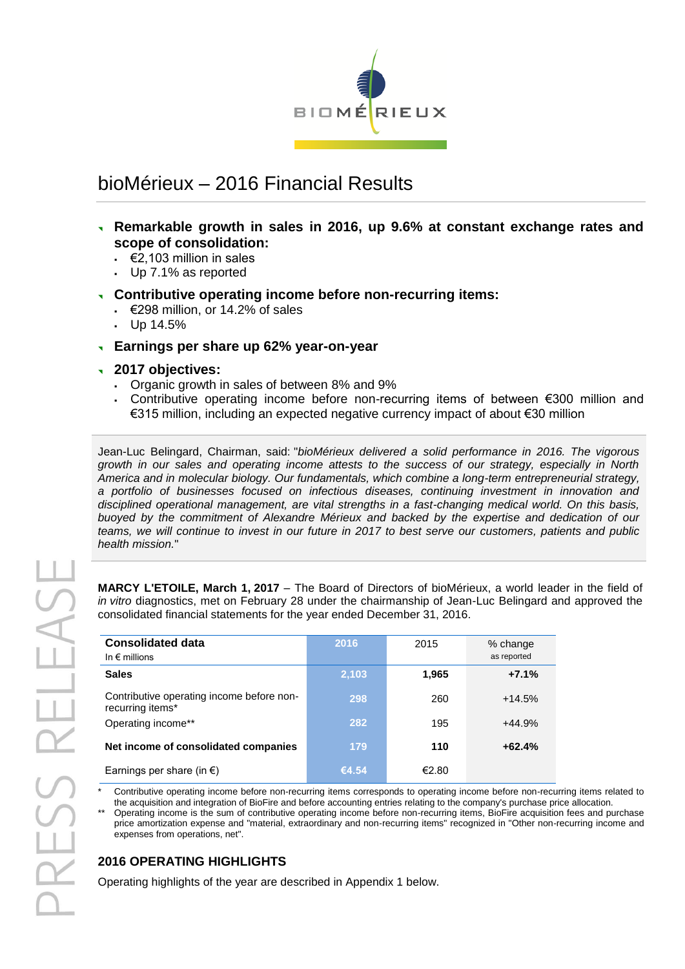

# bioMérieux – 2016 Financial Results

- **Remarkable growth in sales in 2016, up 9.6% at constant exchange rates and scope of consolidation:**
	- $€2,103$  million in sales
	- Up 7.1% as reported
- **Contributive operating income before non-recurring items:** 
	- $\div$  €298 million, or 14.2% of sales
	- $-$  Up 14.5%
- **Earnings per share up 62% year-on-year**
- **2017 objectives:**
	- Organic growth in sales of between 8% and 9%
	- Contributive operating income before non-recurring items of between €300 million and €315 million, including an expected negative currency impact of about €30 million

Jean-Luc Belingard, Chairman, said: "*bioMérieux delivered a solid performance in 2016. The vigorous growth in our sales and operating income attests to the success of our strategy, especially in North America and in molecular biology. Our fundamentals, which combine a long-term entrepreneurial strategy, a portfolio of businesses focused on infectious diseases, continuing investment in innovation and disciplined operational management, are vital strengths in a fast-changing medical world. On this basis, buoyed by the commitment of Alexandre Mérieux and backed by the expertise and dedication of our teams, we will continue to invest in our future in 2017 to best serve our customers, patients and public health mission.*"

**MARCY L'ETOILE, March 1, 2017** – The Board of Directors of bioMérieux, a world leader in the field of *in vitro* diagnostics, met on February 28 under the chairmanship of Jean-Luc Belingard and approved the consolidated financial statements for the year ended December 31, 2016.

| <b>Consolidated data</b><br>In $\epsilon$ millions            | 2016  | 2015  | % change<br>as reported |
|---------------------------------------------------------------|-------|-------|-------------------------|
| <b>Sales</b>                                                  | 2,103 | 1,965 | $+7.1%$                 |
| Contributive operating income before non-<br>recurring items* | 298   | 260   | $+14.5%$                |
| Operating income**                                            | 282   | 195   | $+44.9%$                |
| Net income of consolidated companies                          | 179   | 110   | $+62.4%$                |
| Earnings per share (in $\epsilon$ )                           | €4.54 | €2.80 |                         |

Contributive operating income before non-recurring items corresponds to operating income before non-recurring items related to the acquisition and integration of BioFire and before accounting entries relating to the company's purchase price allocation.

\*\* Operating income is the sum of contributive operating income before non-recurring items, BioFire acquisition fees and purchase price amortization expense and "material, extraordinary and non-recurring items" recognized in "Other non-recurring income and expenses from operations, net".

## **2016 OPERATING HIGHLIGHTS**

Operating highlights of the year are described in Appendix 1 below.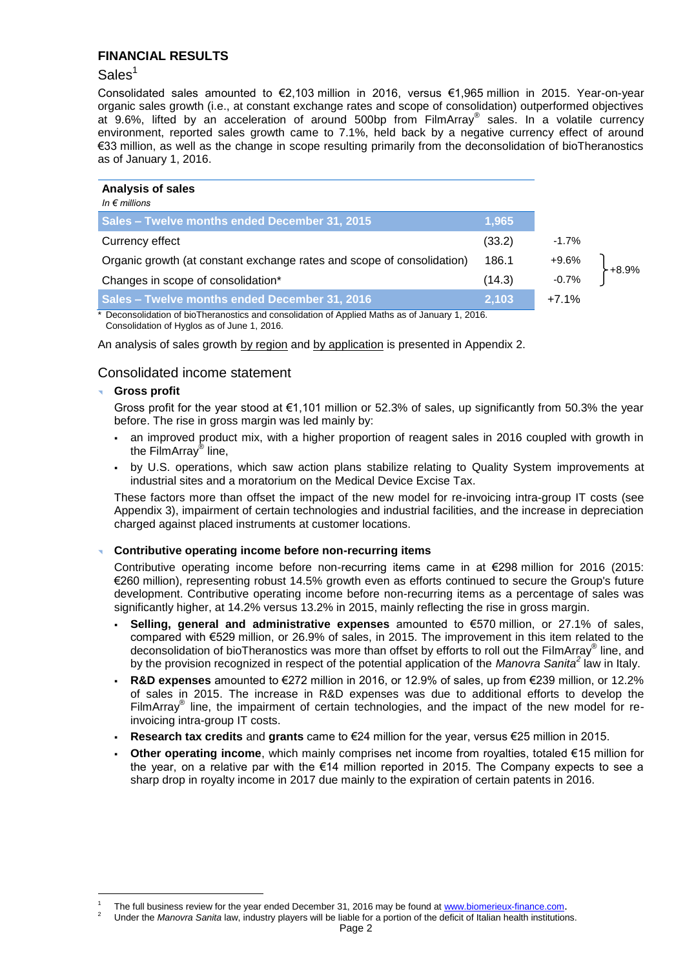## **FINANCIAL RESULTS**

## Sales<sup>1</sup>

Consolidated sales amounted to €2,103 million in 2016, versus €1,965 million in 2015. Year-on-year organic sales growth (i.e., at constant exchange rates and scope of consolidation) outperformed objectives at 9.6%, lifted by an acceleration of around 500bp from FilmArray® sales. In a volatile currency environment, reported sales growth came to 7.1%, held back by a negative currency effect of around €33 million, as well as the change in scope resulting primarily from the deconsolidation of bioTheranostics as of January 1, 2016.

| <b>Analysis of sales</b><br>In $\epsilon$ millions                     |        |         |
|------------------------------------------------------------------------|--------|---------|
| Sales - Twelve months ended December 31, 2015                          | 1,965  |         |
| Currency effect                                                        | (33.2) | $-1.7%$ |
| Organic growth (at constant exchange rates and scope of consolidation) | 186.1  | $+9.6%$ |
| Changes in scope of consolidation*                                     | (14.3) | $-0.7%$ |
| Sales - Twelve months ended December 31, 2016                          | 2,103  | $+7.1%$ |

Deconsolidation of bioTheranostics and consolidation of Applied Maths as of January 1, 2016. Consolidation of Hyglos as of June 1, 2016.

An analysis of sales growth by region and by application is presented in Appendix 2.

## Consolidated income statement

#### **Gross profit**

-

Gross profit for the year stood at €1,101 million or 52.3% of sales, up significantly from 50.3% the year before. The rise in gross margin was led mainly by:

- an improved product mix, with a higher proportion of reagent sales in 2016 coupled with growth in the FilmArray® line,
- by U.S. operations, which saw action plans stabilize relating to Quality System improvements at industrial sites and a moratorium on the Medical Device Excise Tax.

These factors more than offset the impact of the new model for re-invoicing intra-group IT costs (see Appendix 3), impairment of certain technologies and industrial facilities, and the increase in depreciation charged against placed instruments at customer locations.

#### **Contributive operating income before non-recurring items**

Contributive operating income before non-recurring items came in at €298 million for 2016 (2015: €260 million), representing robust 14.5% growth even as efforts continued to secure the Group's future development. Contributive operating income before non-recurring items as a percentage of sales was significantly higher, at 14.2% versus 13.2% in 2015, mainly reflecting the rise in gross margin.

- **Selling, general and administrative expenses** amounted to €570 million, or 27.1% of sales, compared with €529 million, or 26.9% of sales, in 2015. The improvement in this item related to the deconsolidation of bioTheranostics was more than offset by efforts to roll out the FilmArray® line, and by the provision recognized in respect of the potential application of the *Manovra Sanita<sup>2</sup>* law in Italy.
- **R&D expenses** amounted to €272 million in 2016, or 12.9% of sales, up from €239 million, or 12.2% of sales in 2015. The increase in R&D expenses was due to additional efforts to develop the FilmArray<sup>®</sup> line, the impairment of certain technologies, and the impact of the new model for reinvoicing intra-group IT costs.
- **Research tax credits** and **grants** came to €24 million for the year, versus €25 million in 2015.
- **Other operating income**, which mainly comprises net income from royalties, totaled €15 million for the year, on a relative par with the €14 million reported in 2015. The Company expects to see a sharp drop in royalty income in 2017 due mainly to the expiration of certain patents in 2016.

<sup>1</sup> The full business review for the year ended December 31, 2016 may be found at [www.biomerieux-finance.com](http://www.biomerieux-finance.com/).

<sup>2</sup> Under the *Manovra Sanita* law, industry players will be liable for a portion of the deficit of Italian health institutions.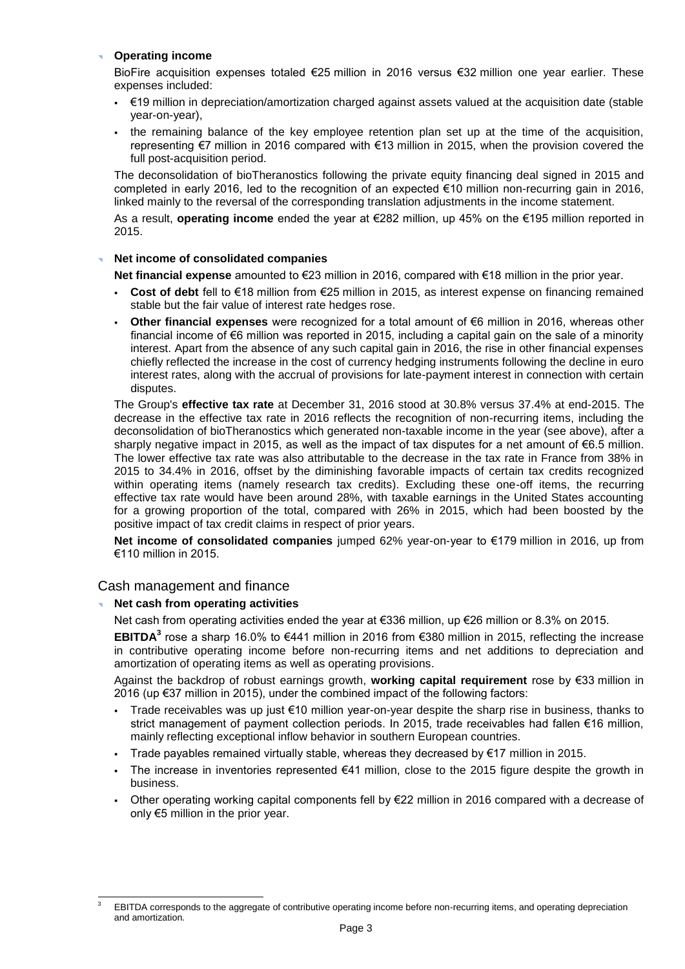#### **Operating income**

BioFire acquisition expenses totaled €25 million in 2016 versus €32 million one year earlier. These expenses included:

- €19 million in depreciation/amortization charged against assets valued at the acquisition date (stable year-on-year),
- the remaining balance of the key employee retention plan set up at the time of the acquisition, representing €7 million in 2016 compared with €13 million in 2015, when the provision covered the full post-acquisition period.

The deconsolidation of bioTheranostics following the private equity financing deal signed in 2015 and completed in early 2016, led to the recognition of an expected €10 million non-recurring gain in 2016, linked mainly to the reversal of the corresponding translation adjustments in the income statement.

As a result, **operating income** ended the year at €282 million, up 45% on the €195 million reported in 2015.

#### **Net income of consolidated companies**

**Net financial expense** amounted to €23 million in 2016, compared with €18 million in the prior year.

- **Cost of debt** fell to €18 million from €25 million in 2015, as interest expense on financing remained stable but the fair value of interest rate hedges rose.
- **Other financial expenses** were recognized for a total amount of €6 million in 2016, whereas other financial income of €6 million was reported in 2015, including a capital gain on the sale of a minority interest. Apart from the absence of any such capital gain in 2016, the rise in other financial expenses chiefly reflected the increase in the cost of currency hedging instruments following the decline in euro interest rates, along with the accrual of provisions for late-payment interest in connection with certain disputes.

The Group's **effective tax rate** at December 31, 2016 stood at 30.8% versus 37.4% at end-2015. The decrease in the effective tax rate in 2016 reflects the recognition of non-recurring items, including the deconsolidation of bioTheranostics which generated non-taxable income in the year (see above), after a sharply negative impact in 2015, as well as the impact of tax disputes for a net amount of €6.5 million. The lower effective tax rate was also attributable to the decrease in the tax rate in France from 38% in 2015 to 34.4% in 2016, offset by the diminishing favorable impacts of certain tax credits recognized within operating items (namely research tax credits). Excluding these one-off items, the recurring effective tax rate would have been around 28%, with taxable earnings in the United States accounting for a growing proportion of the total, compared with 26% in 2015, which had been boosted by the positive impact of tax credit claims in respect of prior years.

**Net income of consolidated companies** jumped 62% year-on-year to €179 million in 2016, up from €110 million in 2015.

#### Cash management and finance

#### **Net cash from operating activities**

-

Net cash from operating activities ended the year at €336 million, up €26 million or 8.3% on 2015.

**EBITDA<sup>3</sup>** rose a sharp 16.0% to €441 million in 2016 from €380 million in 2015, reflecting the increase in contributive operating income before non-recurring items and net additions to depreciation and amortization of operating items as well as operating provisions.

Against the backdrop of robust earnings growth, **working capital requirement** rose by €33 million in 2016 (up €37 million in 2015), under the combined impact of the following factors:

- Trade receivables was up just €10 million year-on-year despite the sharp rise in business, thanks to strict management of payment collection periods. In 2015, trade receivables had fallen €16 million, mainly reflecting exceptional inflow behavior in southern European countries.
- Trade payables remained virtually stable, whereas they decreased by  $\epsilon$ 17 million in 2015.
- The increase in inventories represented €41 million, close to the 2015 figure despite the growth in business.
- Other operating working capital components fell by €22 million in 2016 compared with a decrease of only €5 million in the prior year.

EBITDA corresponds to the aggregate of contributive operating income before non-recurring items, and operating depreciation and amortization.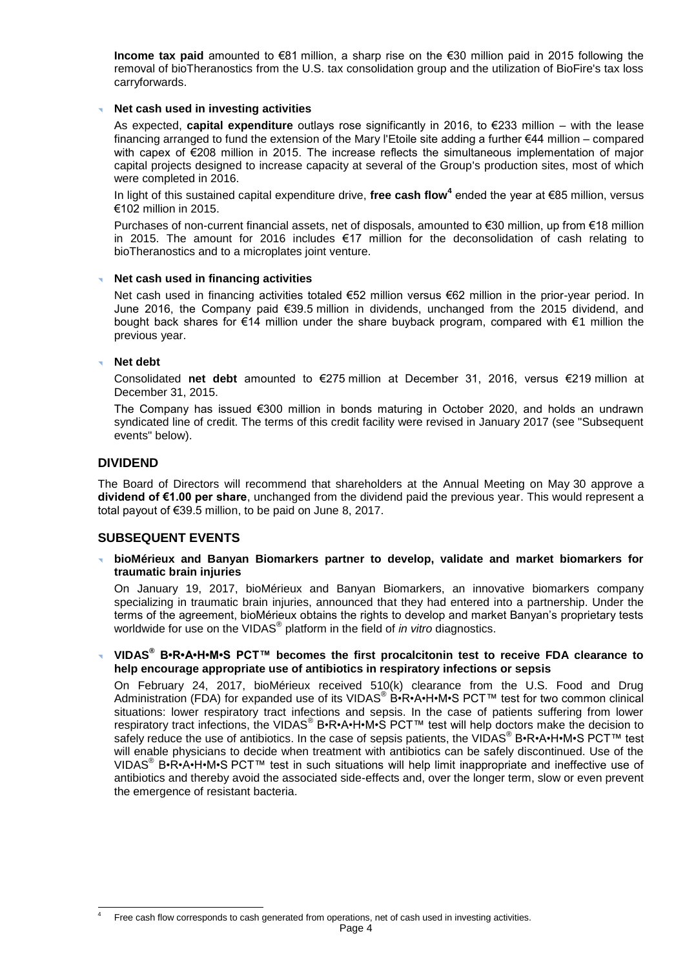**Income tax paid** amounted to €81 million, a sharp rise on the €30 million paid in 2015 following the removal of bioTheranostics from the U.S. tax consolidation group and the utilization of BioFire's tax loss carryforwards.

#### **Net cash used in investing activities**

As expected, **capital expenditure** outlays rose significantly in 2016, to €233 million – with the lease financing arranged to fund the extension of the Mary l'Etoile site adding a further €44 million – compared with capex of €208 million in 2015. The increase reflects the simultaneous implementation of major capital projects designed to increase capacity at several of the Group's production sites, most of which were completed in 2016.

In light of this sustained capital expenditure drive, **free cash flow<sup>4</sup>** ended the year at €85 million, versus €102 million in 2015.

Purchases of non-current financial assets, net of disposals, amounted to €30 million, up from €18 million in 2015. The amount for 2016 includes €17 million for the deconsolidation of cash relating to bioTheranostics and to a microplates joint venture.

#### **Net cash used in financing activities**

Net cash used in financing activities totaled €52 million versus €62 million in the prior-year period. In June 2016, the Company paid €39.5 million in dividends, unchanged from the 2015 dividend, and bought back shares for €14 million under the share buyback program, compared with €1 million the previous year.

#### **Net debt**

Consolidated **net debt** amounted to €275 million at December 31, 2016, versus €219 million at December 31, 2015.

The Company has issued €300 million in bonds maturing in October 2020, and holds an undrawn syndicated line of credit. The terms of this credit facility were revised in January 2017 (see "Subsequent events" below).

## **DIVIDEND**

The Board of Directors will recommend that shareholders at the Annual Meeting on May 30 approve a **dividend of €1.00 per share**, unchanged from the dividend paid the previous year. This would represent a total payout of €39.5 million, to be paid on June 8, 2017.

#### **SUBSEQUENT EVENTS**

 **bioMérieux and Banyan Biomarkers partner to develop, validate and market biomarkers for traumatic brain injuries**

On January 19, 2017, bioMérieux and Banyan Biomarkers, an innovative biomarkers company specializing in traumatic brain injuries, announced that they had entered into a partnership. Under the terms of the agreement, bioMérieux obtains the rights to develop and market Banyan's proprietary tests worldwide for use on the VIDAS® platform in the field of *in vitro* diagnostics.

 **VIDAS® B•R•A•H•M•S PCT™ becomes the first procalcitonin test to receive FDA clearance to help encourage appropriate use of antibiotics in respiratory infections or sepsis**

On February 24, 2017, bioMérieux received 510(k) clearance from the U.S. Food and Drug Administration (FDA) for expanded use of its VIDAS<sup>®</sup> B•R•A•H•M•S PCT™ test for two common clinical situations: lower respiratory tract infections and sepsis. In the case of patients suffering from lower respiratory tract infections, the VIDAS<sup>®</sup> B•R•A•H•M•S PCT™ test will help doctors make the decision to safely reduce the use of antibiotics. In the case of sepsis patients, the VIDAS<sup>®</sup> B•R•A•H•M•S PCT™ test will enable physicians to decide when treatment with antibiotics can be safely discontinued. Use of the VIDAS<sup>®</sup> B•R•A•H•M•S PCT™ test in such situations will help limit inappropriate and ineffective use of antibiotics and thereby avoid the associated side-effects and, over the longer term, slow or even prevent the emergence of resistant bacteria.

 $\overline{a}$ 4 Free cash flow corresponds to cash generated from operations, net of cash used in investing activities.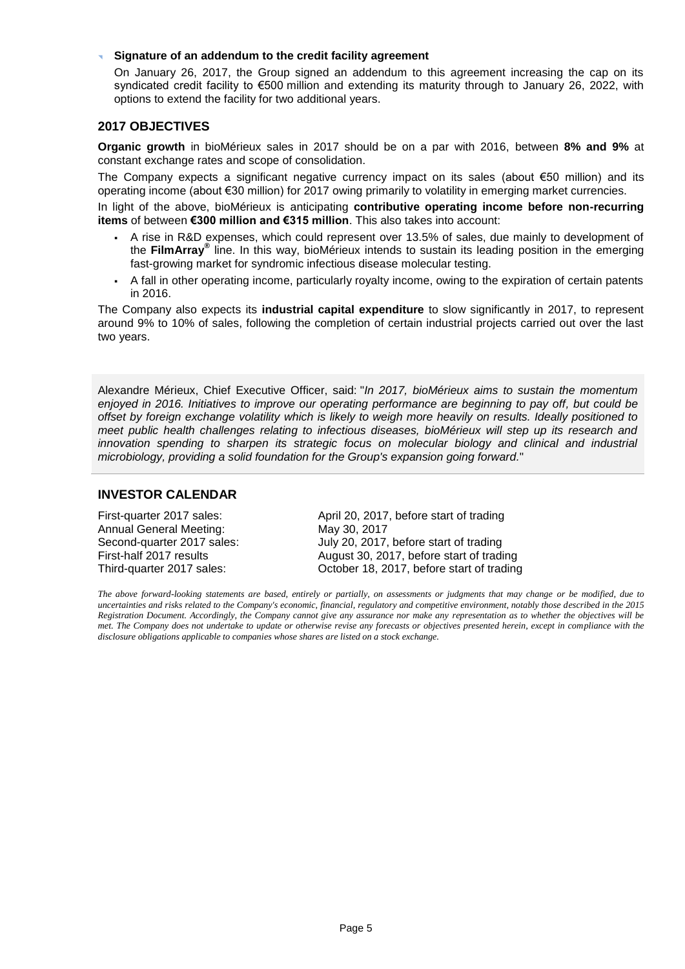#### **Signature of an addendum to the credit facility agreement**

On January 26, 2017, the Group signed an addendum to this agreement increasing the cap on its syndicated credit facility to €500 million and extending its maturity through to January 26, 2022, with options to extend the facility for two additional years.

#### **2017 OBJECTIVES**

**Organic growth** in bioMérieux sales in 2017 should be on a par with 2016, between **8% and 9%** at constant exchange rates and scope of consolidation.

The Company expects a significant negative currency impact on its sales (about €50 million) and its operating income (about €30 million) for 2017 owing primarily to volatility in emerging market currencies.

In light of the above, bioMérieux is anticipating **contributive operating income before non-recurring items** of between **€300 million and €315 million**. This also takes into account:

- A rise in R&D expenses, which could represent over 13.5% of sales, due mainly to development of the **FilmArray®** line. In this way, bioMérieux intends to sustain its leading position in the emerging fast-growing market for syndromic infectious disease molecular testing.
- A fall in other operating income, particularly royalty income, owing to the expiration of certain patents in 2016.

The Company also expects its **industrial capital expenditure** to slow significantly in 2017, to represent around 9% to 10% of sales, following the completion of certain industrial projects carried out over the last two years.

Alexandre Mérieux, Chief Executive Officer, said: "*In 2017, bioMérieux aims to sustain the momentum enjoyed in 2016. Initiatives to improve our operating performance are beginning to pay off, but could be offset by foreign exchange volatility which is likely to weigh more heavily on results. Ideally positioned to meet public health challenges relating to infectious diseases, bioMérieux will step up its research and*  innovation spending to sharpen its strategic focus on molecular biology and clinical and industrial *microbiology, providing a solid foundation for the Group's expansion going forward.*"

#### **INVESTOR CALENDAR**

Annual General Meeting: May 30, 2017

First-quarter 2017 sales: April 20, 2017, before start of trading Second-quarter 2017 sales: July 20, 2017, before start of trading First-half 2017 results August 30, 2017, before start of trading Third-quarter 2017 sales: October 18, 2017, before start of trading

*The above forward-looking statements are based, entirely or partially, on assessments or judgments that may change or be modified, due to uncertainties and risks related to the Company's economic, financial, regulatory and competitive environment, notably those described in the 2015 Registration Document. Accordingly, the Company cannot give any assurance nor make any representation as to whether the objectives will be met. The Company does not undertake to update or otherwise revise any forecasts or objectives presented herein, except in compliance with the disclosure obligations applicable to companies whose shares are listed on a stock exchange.*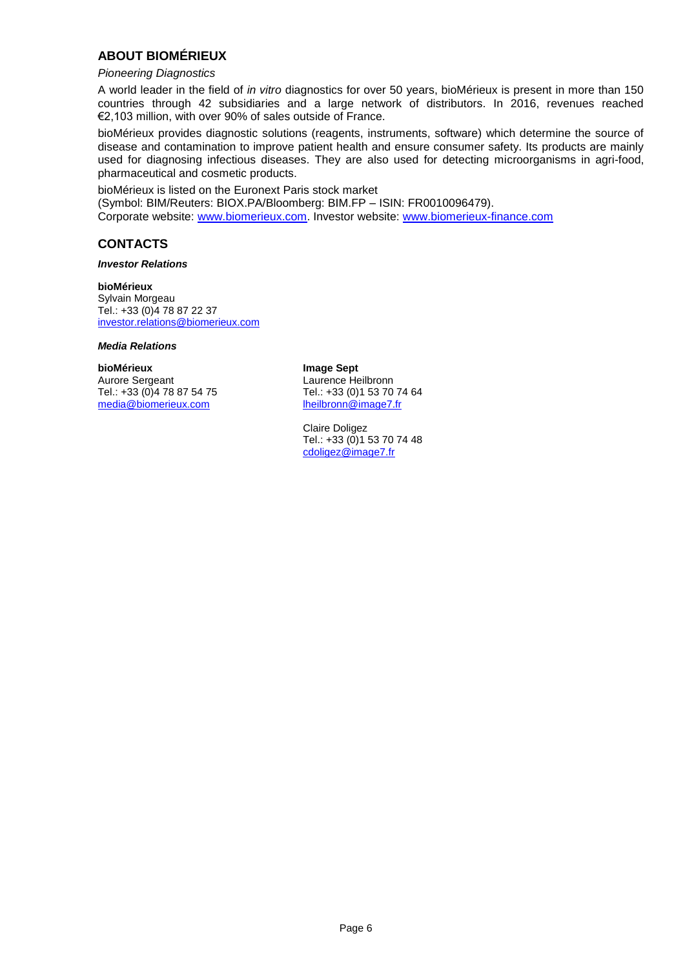## **ABOUT BIOMÉRIEUX**

#### *Pioneering Diagnostics*

A world leader in the field of *in vitro* diagnostics for over 50 years, bioMérieux is present in more than 150 countries through 42 subsidiaries and a large network of distributors. In 2016, revenues reached €2,103 million, with over 90% of sales outside of France.

bioMérieux provides diagnostic solutions (reagents, instruments, software) which determine the source of disease and contamination to improve patient health and ensure consumer safety. Its products are mainly used for diagnosing infectious diseases. They are also used for detecting microorganisms in agri-food, pharmaceutical and cosmetic products.

bioMérieux is listed on the Euronext Paris stock market (Symbol: BIM/Reuters: BIOX.PA/Bloomberg: BIM.FP – ISIN: FR0010096479). Corporate website: [www.biomerieux.com.](http://www.biomerieux.com/) Investor website: [www.biomerieux-finance.com](http://www.biomerieux-finance.com/)

## **CONTACTS**

#### *Investor Relations*

**bioMérieux** Sylvain Morgeau Tel.: +33 (0)4 78 87 22 37 [investor.relations@biomerieux.com](mailto:investor.relations@biomerieux.com)

#### *Media Relations*

**bioMérieux Image Sept** Tel.: +33 (0) 4 78 87 54 75 Tel.: +33 (0) 1 53 70 74<br>media@biomerieux.com heilbronn@image7.fr [media@biomerieux.com](mailto:media@biomerieux.com)

Aurore Sergeant 
Laurence Heilbronn

Tel.: +33 (0)1 73 70 74 64

Tel.: +33 (0)1 53 70 74 64

Claire Doligez Tel.: +33 (0)1 53 70 74 48 [cdoligez@image7.fr](mailto:cdoligez@image7.fr)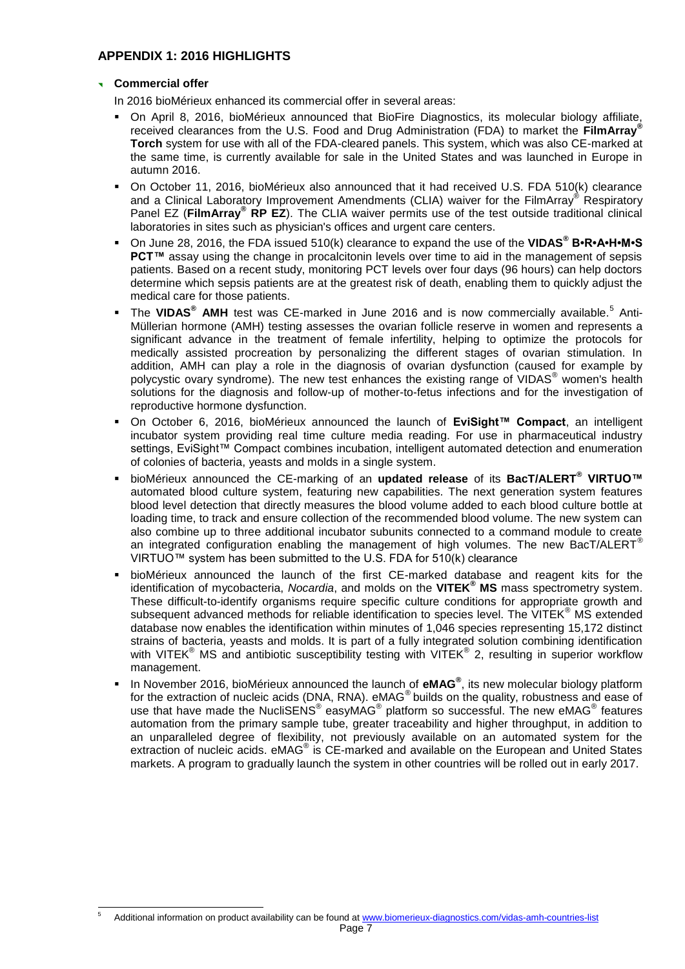## **APPENDIX 1: 2016 HIGHLIGHTS**

#### **Commercial offer**

 $\overline{a}$ 

In 2016 bioMérieux enhanced its commercial offer in several areas:

- On April 8, 2016, bioMérieux announced that BioFire Diagnostics, its molecular biology affiliate, received clearances from the U.S. Food and Drug Administration (FDA) to market the **FilmArray® Torch** system for use with all of the FDA-cleared panels. This system, which was also CE-marked at the same time, is currently available for sale in the United States and was launched in Europe in autumn 2016.
- On October 11, 2016, bioMérieux also announced that it had received U.S. FDA 510(k) clearance and a Clinical Laboratory Improvement Amendments (CLIA) waiver for the FilmArray® Respiratory Panel EZ (**FilmArray® RP EZ**). The CLIA waiver permits use of the test outside traditional clinical laboratories in sites such as physician's offices and urgent care centers.
- On June 28, 2016, the FDA issued 510(k) clearance to expand the use of the **VIDAS® B•R•A•H•M•S PCT<sup>™</sup>** assay using the change in procalcitonin levels over time to aid in the management of sepsis patients. Based on a recent study, monitoring PCT levels over four days (96 hours) can help doctors determine which sepsis patients are at the greatest risk of death, enabling them to quickly adjust the medical care for those patients.
- **The VIDAS<sup>®</sup> AMH** test was CE-marked in June 2016 and is now commercially available.<sup>5</sup> Anti-Müllerian hormone (AMH) testing assesses the ovarian follicle reserve in women and represents a significant advance in the treatment of female infertility, helping to optimize the protocols for medically assisted procreation by personalizing the different stages of ovarian stimulation. In addition, AMH can play a role in the diagnosis of ovarian dysfunction (caused for example by polycystic ovary syndrome). The new test enhances the existing range of VIDAS<sup>®</sup> women's health solutions for the diagnosis and follow-up of mother-to-fetus infections and for the investigation of reproductive hormone dysfunction.
- On October 6, 2016, bioMérieux announced the launch of **EviSight™ Compact**, an intelligent incubator system providing real time culture media reading. For use in pharmaceutical industry settings, EviSight™ Compact combines incubation, intelligent automated detection and enumeration of colonies of bacteria, yeasts and molds in a single system.
- bioMérieux announced the CE-marking of an **updated release** of its **BacT/ALERT® VIRTUO™** automated blood culture system, featuring new capabilities. The next generation system features blood level detection that directly measures the blood volume added to each blood culture bottle at loading time, to track and ensure collection of the recommended blood volume. The new system can also combine up to three additional incubator subunits connected to a command module to create an integrated configuration enabling the management of high volumes. The new BacT/ALERT<sup>®</sup> VIRTUO™ system has been submitted to the U.S. FDA for  $510(k)$  clearance
- **bioMérieux announced the launch of the first CE-marked database and reagent kits for the** identification of mycobacteria, *Nocardia*, and molds on the **VITEK® MS** mass spectrometry system. These difficult-to-identify organisms require specific culture conditions for appropriate growth and subsequent advanced methods for reliable identification to species level. The VITEK<sup>®</sup> MS extended database now enables the identification within minutes of 1,046 species representing 15,172 distinct strains of bacteria, yeasts and molds. It is part of a fully integrated solution combining identification with VITEK<sup>®</sup> MS and antibiotic susceptibility testing with VITEK<sup>®</sup> 2, resulting in superior workflow management.
- In November 2016, bioMérieux announced the launch of **eMAG<sup>®</sup>,** its new molecular biology platform for the extraction of nucleic acids (DNA, RNA). eMAG<sup>®</sup> builds on the quality, robustness and ease of use that have made the NucliSENS® easyMAG® platform so successful. The new eMAG® features automation from the primary sample tube, greater traceability and higher throughput, in addition to an unparalleled degree of flexibility, not previously available on an automated system for the extraction of nucleic acids. eMAG<sup>®</sup> is CE-marked and available on the European and United States markets. A program to gradually launch the system in other countries will be rolled out in early 2017.

Page 7 Additional information on product availability can be found at [www.biomerieux-diagnostics.com/vidas-amh-countries-list](http://www.biomerieux-diagnostics.com/vidas-amh-countries-list)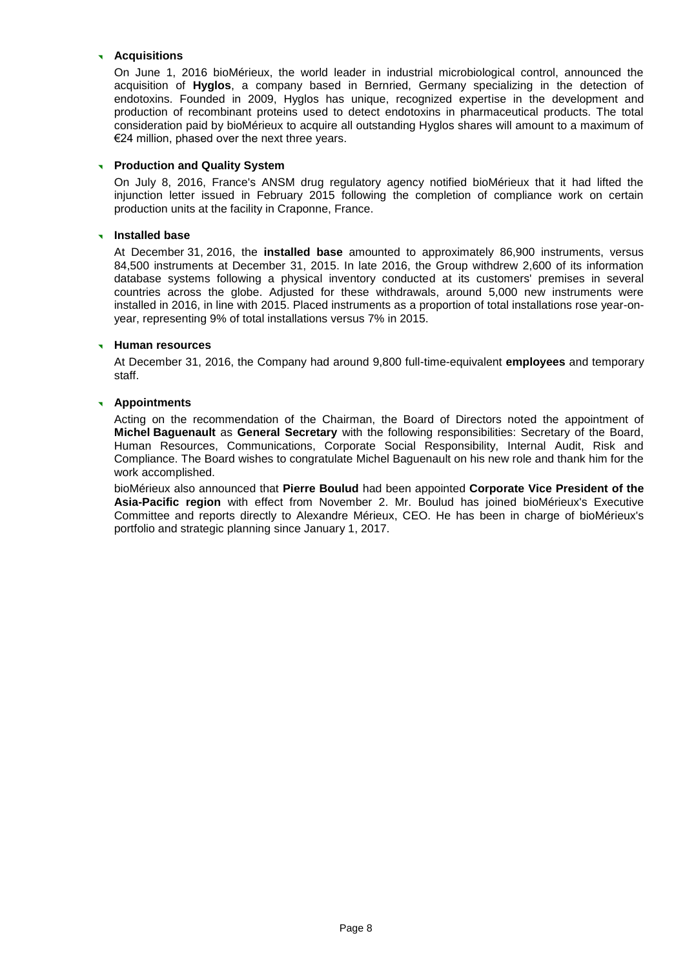#### **Acquisitions**

On June 1, 2016 bioMérieux, the world leader in industrial microbiological control, announced the acquisition of **Hyglos**, a company based in Bernried, Germany specializing in the detection of endotoxins. Founded in 2009, Hyglos has unique, recognized expertise in the development and production of recombinant proteins used to detect endotoxins in pharmaceutical products. The total consideration paid by bioMérieux to acquire all outstanding Hyglos shares will amount to a maximum of €24 million, phased over the next three years.

#### **Production and Quality System**

On July 8, 2016, France's ANSM drug regulatory agency notified bioMérieux that it had lifted the injunction letter issued in February 2015 following the completion of compliance work on certain production units at the facility in Craponne, France.

#### **Installed base**

At December 31, 2016, the **installed base** amounted to approximately 86,900 instruments, versus 84,500 instruments at December 31, 2015. In late 2016, the Group withdrew 2,600 of its information database systems following a physical inventory conducted at its customers' premises in several countries across the globe. Adjusted for these withdrawals, around 5,000 new instruments were installed in 2016, in line with 2015. Placed instruments as a proportion of total installations rose year-onyear, representing 9% of total installations versus 7% in 2015.

#### **Human resources**

At December 31, 2016, the Company had around 9,800 full-time-equivalent **employees** and temporary staff.

#### **Appointments**

Acting on the recommendation of the Chairman, the Board of Directors noted the appointment of **Michel Baguenault** as **General Secretary** with the following responsibilities: Secretary of the Board, Human Resources, Communications, Corporate Social Responsibility, Internal Audit, Risk and Compliance. The Board wishes to congratulate Michel Baguenault on his new role and thank him for the work accomplished.

bioMérieux also announced that **Pierre Boulud** had been appointed **Corporate Vice President of the Asia-Pacific region** with effect from November 2. Mr. Boulud has joined bioMérieux's Executive Committee and reports directly to Alexandre Mérieux, CEO. He has been in charge of bioMérieux's portfolio and strategic planning since January 1, 2017.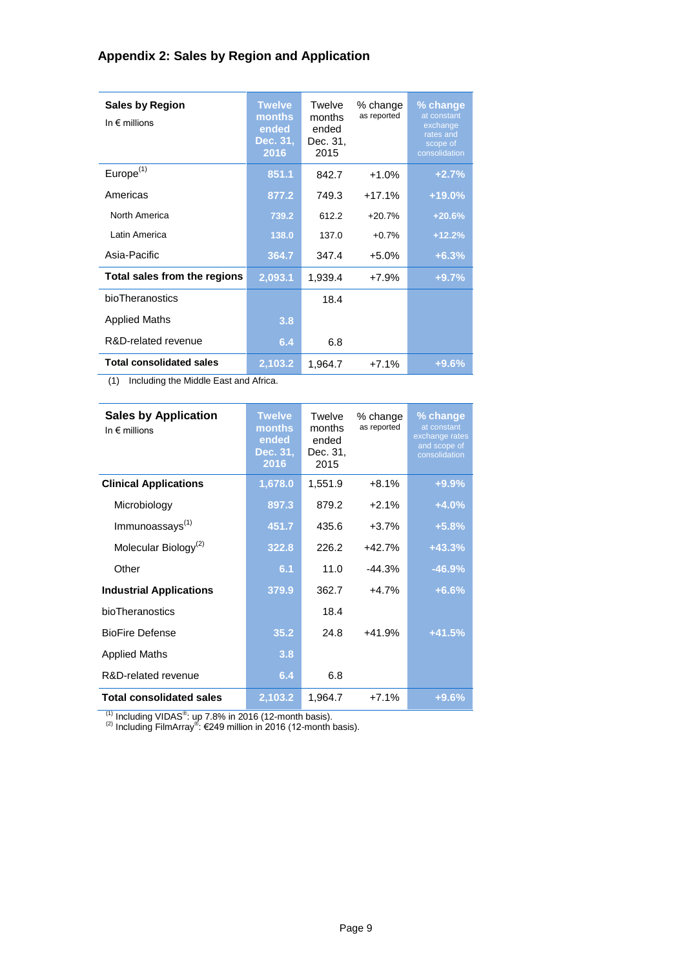## **Appendix 2: Sales by Region and Application**

| <b>Sales by Region</b><br>In $\epsilon$ millions | <b>Twelve</b><br>months<br>ended<br>Dec. 31,<br>2016 | Twelve<br>months<br>ended<br>Dec. 31,<br>2015 | % change<br>as reported | % change<br>at constant<br>exchange<br>rates and<br>scope of<br>consolidation |
|--------------------------------------------------|------------------------------------------------------|-----------------------------------------------|-------------------------|-------------------------------------------------------------------------------|
| Europe <sup>(1)</sup>                            | 851.1                                                | 842.7                                         | $+1.0%$                 | $+2.7%$                                                                       |
| Americas                                         | 877.2                                                | 749.3                                         | $+17.1%$                | $+19.0%$                                                                      |
| North America                                    | 739.2                                                | 612.2                                         | $+20.7%$                | $+20.6%$                                                                      |
| I atin America                                   | 138.0                                                | 137.0                                         | $+0.7%$                 | $+12.2%$                                                                      |
| Asia-Pacific                                     | 364.7                                                | 347.4                                         | $+5.0%$                 | $+6.3%$                                                                       |
| Total sales from the regions                     | 2,093.1                                              | 1,939.4                                       | $+7.9%$                 | $+9.7%$                                                                       |
| bioTheranostics                                  |                                                      | 18.4                                          |                         |                                                                               |
| <b>Applied Maths</b>                             | 3.8                                                  |                                               |                         |                                                                               |
| R&D-related revenue                              | 6.4                                                  | 6.8                                           |                         |                                                                               |
| <b>Total consolidated sales</b>                  | 2,103.2                                              | 1,964.7                                       | $+7.1%$                 | $+9.6%$                                                                       |

(1) Including the Middle East and Africa.

| <b>Sales by Application</b><br>In $\epsilon$ millions | <b>Twelve</b><br>months<br>ended<br>Dec. 31,<br>2016 | Twelve<br>months<br>ended<br>Dec. 31,<br>2015 | % change<br>as reported | % change<br>at constant<br>exchange rates<br>and scope of<br>consolidation |
|-------------------------------------------------------|------------------------------------------------------|-----------------------------------------------|-------------------------|----------------------------------------------------------------------------|
| <b>Clinical Applications</b>                          | 1,678.0                                              | 1,551.9                                       | $+8.1%$                 | $+9.9%$                                                                    |
| Microbiology                                          | 897.3                                                | 879.2                                         | $+2.1%$                 | $+4.0%$                                                                    |
| Immunoassays <sup>(1)</sup>                           | 451.7                                                | 435.6                                         | $+3.7%$                 | $+5.8%$                                                                    |
| Molecular Biology <sup>(2)</sup>                      | 322.8                                                | 226.2                                         | $+42.7%$                | $+43.3%$                                                                   |
| Other                                                 | 6.1                                                  | 11.0                                          | $-44.3%$                | $-46.9%$                                                                   |
| <b>Industrial Applications</b>                        | 379.9                                                | 362.7                                         | $+4.7%$                 | $+6.6%$                                                                    |
| bioTheranostics                                       |                                                      | 18.4                                          |                         |                                                                            |
| <b>BioFire Defense</b>                                | 35.2                                                 | 24.8                                          | $+41.9%$                | $+41.5%$                                                                   |
| <b>Applied Maths</b>                                  | 3.8                                                  |                                               |                         |                                                                            |
| R&D-related revenue                                   | 6.4                                                  | 6.8                                           |                         |                                                                            |
| <b>Total consolidated sales</b>                       | 2,103.2                                              | 1,964.7                                       | $+7.1%$                 | $+9.6%$                                                                    |

<sup>(1)</sup> Including VIDAS<sup>®</sup>: up 7.8% in 2016 (12-month basis).<br><sup>(2)</sup> Including FilmArray<sup>®</sup>: €249 million in 2016 (12-month basis).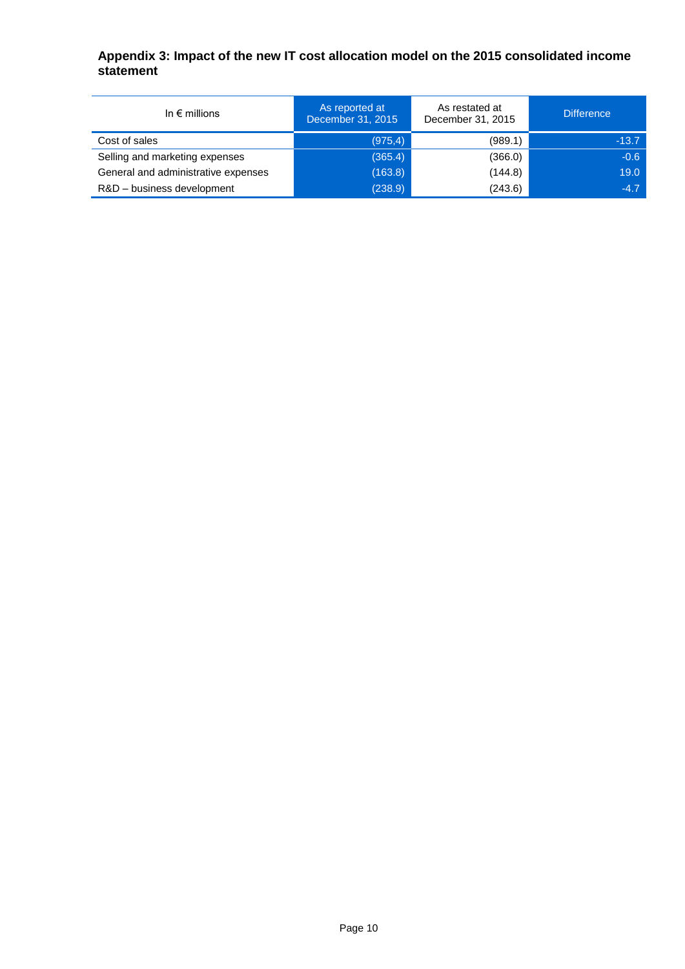## **Appendix 3: Impact of the new IT cost allocation model on the 2015 consolidated income statement**

| In $\epsilon$ millions              | As reported at<br>December 31, 2015 | As restated at<br>December 31, 2015 | <b>Difference</b> |
|-------------------------------------|-------------------------------------|-------------------------------------|-------------------|
| Cost of sales                       | (975, 4)                            | (989.1)                             | $-13.7$           |
| Selling and marketing expenses      | (365.4)                             | (366.0)                             | $-0.6$            |
| General and administrative expenses | (163.8)                             | (144.8)                             | 19.0              |
| R&D - business development          | (238.9)                             | (243.6)                             | $-4.7$            |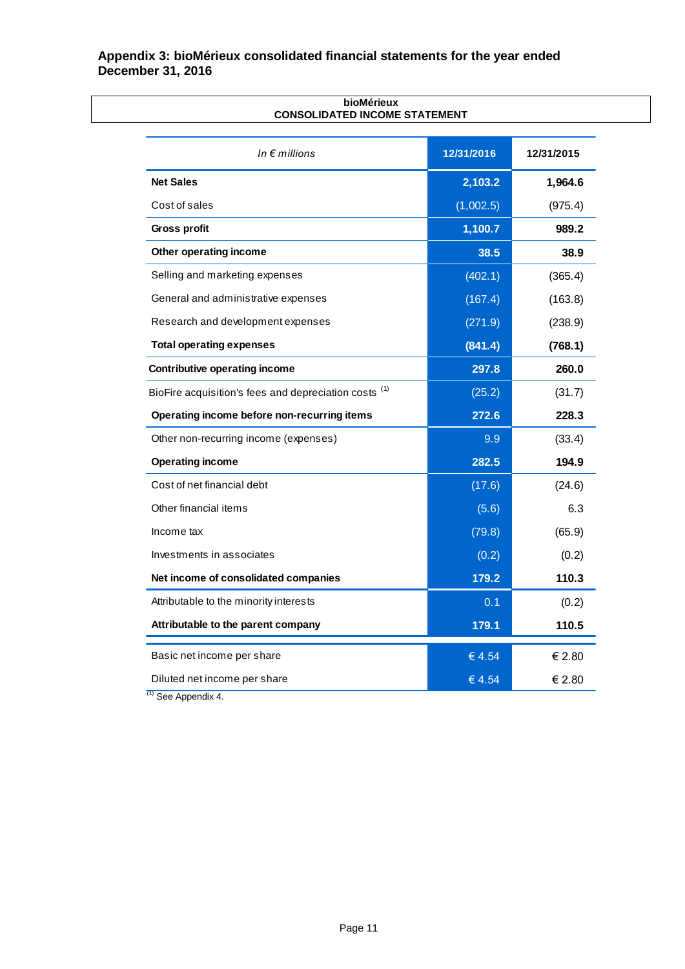## **Appendix 3: bioMérieux consolidated financial statements for the year ended December 31, 2016**

| In $\epsilon$ millions                                | 12/31/2016 | 12/31/2015 |
|-------------------------------------------------------|------------|------------|
| <b>Net Sales</b>                                      | 2,103.2    | 1,964.6    |
| Cost of sales                                         | (1,002.5)  | (975.4)    |
| Gross profit                                          | 1,100.7    | 989.2      |
| Other operating income                                | 38.5       | 38.9       |
| Selling and marketing expenses                        | (402.1)    | (365.4)    |
| General and administrative expenses                   | (167.4)    | (163.8)    |
| Research and development expenses                     | (271.9)    | (238.9)    |
| <b>Total operating expenses</b>                       | (841.4)    | (768.1)    |
| <b>Contributive operating income</b>                  | 297.8      | 260.0      |
| BioFire acquisition's fees and depreciation costs (1) | (25.2)     | (31.7)     |
| Operating income before non-recurring items           | 272.6      | 228.3      |
| Other non-recurring income (expenses)                 | 9.9        | (33.4)     |
| <b>Operating income</b>                               | 282.5      | 194.9      |
| Cost of net financial debt                            | (17.6)     | (24.6)     |
| Other financial items                                 | (5.6)      | 6.3        |
| Income tax                                            | (79.8)     | (65.9)     |
| Investments in associates                             | (0.2)      | (0.2)      |
| Net income of consolidated companies                  | 179.2      | 110.3      |
| Attributable to the minority interests                | 0.1        | (0.2)      |
| Attributable to the parent company                    | 179.1      | 110.5      |
| Basic net income per share                            | € 4.54     | € 2.80     |
| Diluted net income per share                          | € 4.54     | € 2.80     |

#### **bioMérieux CONSOLIDATED INCOME STATEMENT**

 $(1)$  See Appendix 4.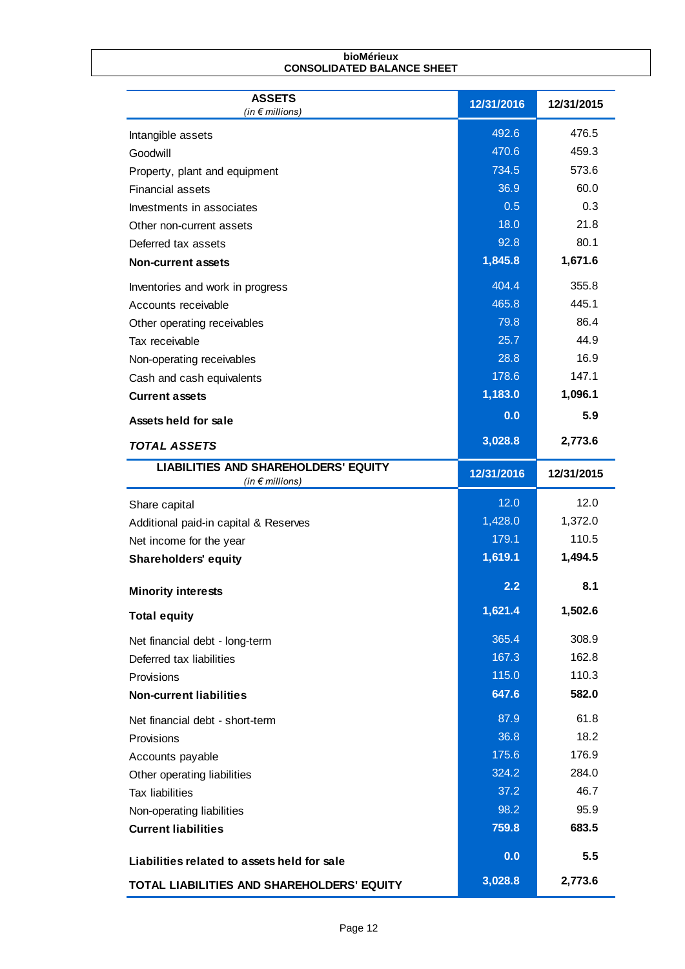| <b>ASSETS</b><br>(in $\epsilon$ millions)   | 12/31/2016 | 12/31/2015 |
|---------------------------------------------|------------|------------|
| Intangible assets                           | 492.6      | 476.5      |
| Goodwill                                    | 470.6      | 459.3      |
| Property, plant and equipment               | 734.5      | 573.6      |
| <b>Financial assets</b>                     | 36.9       | 60.0       |
| Investments in associates                   | 0.5        | 0.3        |
| Other non-current assets                    | 18.0       | 21.8       |
| Deferred tax assets                         | 92.8       | 80.1       |
| <b>Non-current assets</b>                   | 1,845.8    | 1,671.6    |
| Inventories and work in progress            | 404.4      | 355.8      |
| Accounts receivable                         | 465.8      | 445.1      |
| Other operating receivables                 | 79.8       | 86.4       |
| Tax receivable                              | 25.7       | 44.9       |
| Non-operating receivables                   | 28.8       | 16.9       |
| Cash and cash equivalents                   | 178.6      | 147.1      |
| <b>Current assets</b>                       | 1,183.0    | 1,096.1    |
| Assets held for sale                        | 0.0        | 5.9        |
| <b>TOTAL ASSETS</b>                         | 3,028.8    | 2,773.6    |
| <b>LIABILITIES AND SHAREHOLDERS' EQUITY</b> | 12/31/2016 | 12/31/2015 |
| (in $\epsilon$ millions)                    |            |            |
| Share capital                               | 12.0       | 12.0       |
| Additional paid-in capital & Reserves       | 1,428.0    | 1,372.0    |
| Net income for the year                     | 179.1      | 110.5      |
| <b>Shareholders' equity</b>                 | 1,619.1    | 1,494.5    |
| <b>Minority interests</b>                   | 2.2        | 8.1        |
| <b>Total equity</b>                         | 1,621.4    | 1,502.6    |
| Net financial debt - long-term              | 365.4      | 308.9      |
| Deferred tax liabilities                    | 167.3      | 162.8      |
| Provisions                                  | 115.0      | 110.3      |
| <b>Non-current liabilities</b>              | 647.6      | 582.0      |
| Net financial debt - short-term             | 87.9       | 61.8       |
| Provisions                                  | 36.8       | 18.2       |
| Accounts payable                            | 175.6      | 176.9      |
| Other operating liabilities                 | 324.2      | 284.0      |
| <b>Tax liabilities</b>                      | 37.2       | 46.7       |
| Non-operating liabilities                   | 98.2       | 95.9       |
| <b>Current liabilities</b>                  | 759.8      | 683.5      |
|                                             | 0.0        | 5.5        |
| Liabilities related to assets held for sale |            |            |

**bioMérieux**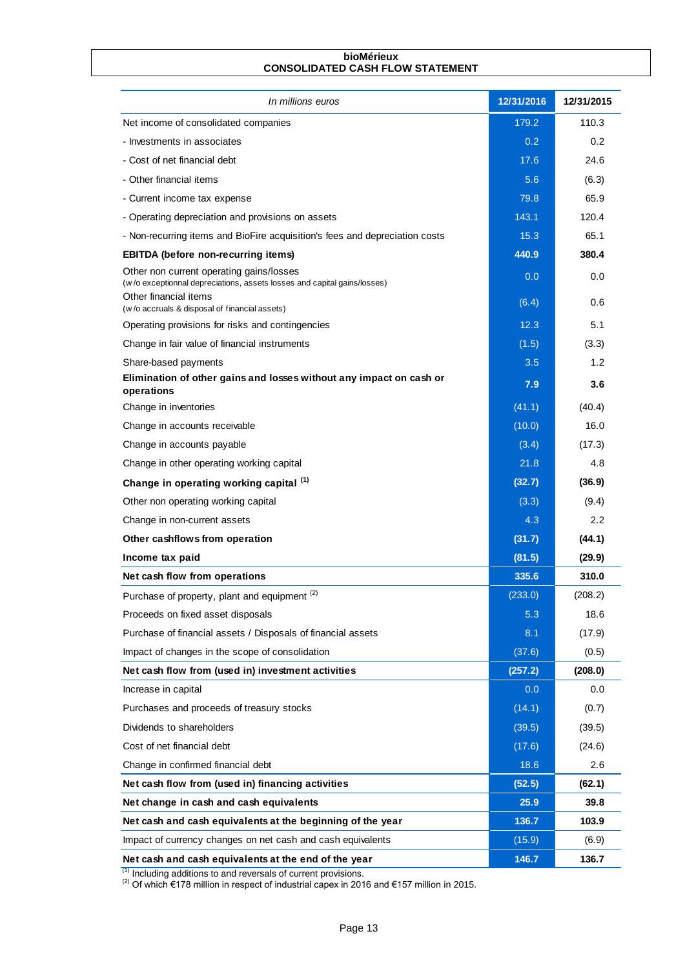#### **bioMérieux CONSOLIDATED CASH FLOW STATEMENT**

| In millions euros                                                                                                                                                                   | 12/31/2016       | 12/31/2015 |
|-------------------------------------------------------------------------------------------------------------------------------------------------------------------------------------|------------------|------------|
| Net income of consolidated companies                                                                                                                                                | 179.2            | 110.3      |
| - Investments in associates                                                                                                                                                         | 0.2 <sub>0</sub> | 0.2        |
| - Cost of net financial debt                                                                                                                                                        | 17.6             | 24.6       |
| - Other financial items                                                                                                                                                             | 5.6              | (6.3)      |
| - Current income tax expense                                                                                                                                                        | 79.8             | 65.9       |
| - Operating depreciation and provisions on assets                                                                                                                                   | 143.1            | 120.4      |
| - Non-recurring items and BioFire acquisition's fees and depreciation costs                                                                                                         | 15.3             | 65.1       |
| <b>EBITDA</b> (before non-recurring items)                                                                                                                                          | 440.9            | 380.4      |
| Other non current operating gains/losses<br>(w/o exceptionnal depreciations, assets losses and capital gains/losses)                                                                | 0.0              | 0.0        |
| Other financial items<br>(w/o accruals & disposal of financial assets)                                                                                                              | (6.4)            | 0.6        |
| Operating provisions for risks and contingencies                                                                                                                                    | 12.3             | 5.1        |
| Change in fair value of financial instruments                                                                                                                                       | (1.5)            | (3.3)      |
| Share-based payments                                                                                                                                                                | 3.5              | 1.2        |
| Elimination of other gains and losses without any impact on cash or<br>operations                                                                                                   | 7.9              | 3.6        |
| Change in inventories                                                                                                                                                               | (41.1)           | (40.4)     |
| Change in accounts receivable                                                                                                                                                       | (10.0)           | 16.0       |
| Change in accounts payable                                                                                                                                                          | (3.4)            | (17.3)     |
| Change in other operating working capital                                                                                                                                           | 21.8             | 4.8        |
| Change in operating working capital (1)                                                                                                                                             | (32.7)           | (36.9)     |
| Other non operating working capital                                                                                                                                                 | (3.3)            | (9.4)      |
| Change in non-current assets                                                                                                                                                        | 4.3              | 2.2        |
| Other cashflows from operation                                                                                                                                                      | (31.7)           | (44.1)     |
| Income tax paid                                                                                                                                                                     | (81.5)           | (29.9)     |
| Net cash flow from operations                                                                                                                                                       | 335.6            | 310.0      |
| Purchase of property, plant and equipment <sup>(2)</sup>                                                                                                                            | (233.0)          | (208.2)    |
| Proceeds on fixed asset disposals                                                                                                                                                   | 5.3              | 18.6       |
| Purchase of financial assets / Disposals of financial assets                                                                                                                        | 8.1              | (17.9)     |
| Impact of changes in the scope of consolidation                                                                                                                                     | (37.6)           | (0.5)      |
| Net cash flow from (used in) investment activities                                                                                                                                  | (257.2)          | (208.0)    |
| Increase in capital                                                                                                                                                                 | 0.0              | 0.0        |
| Purchases and proceeds of treasury stocks                                                                                                                                           | (14.1)           | (0.7)      |
| Dividends to shareholders                                                                                                                                                           | (39.5)           | (39.5)     |
| Cost of net financial debt                                                                                                                                                          | (17.6)           | (24.6)     |
| Change in confirmed financial debt                                                                                                                                                  | 18.6             | 2.6        |
| Net cash flow from (used in) financing activities                                                                                                                                   | (52.5)           | (62.1)     |
| Net change in cash and cash equivalents                                                                                                                                             | 25.9             | 39.8       |
| Net cash and cash equivalents at the beginning of the year                                                                                                                          | 136.7            | 103.9      |
| Impact of currency changes on net cash and cash equivalents                                                                                                                         | (15.9)           | (6.9)      |
| Net cash and cash equivalents at the end of the year                                                                                                                                | 146.7            | 136.7      |
| <sup>(1)</sup> Including additions to and reversals of current provisions.<br><sup>(2)</sup> Of which €178 million in respect of industrial capex in 2016 and €157 million in 2015. |                  |            |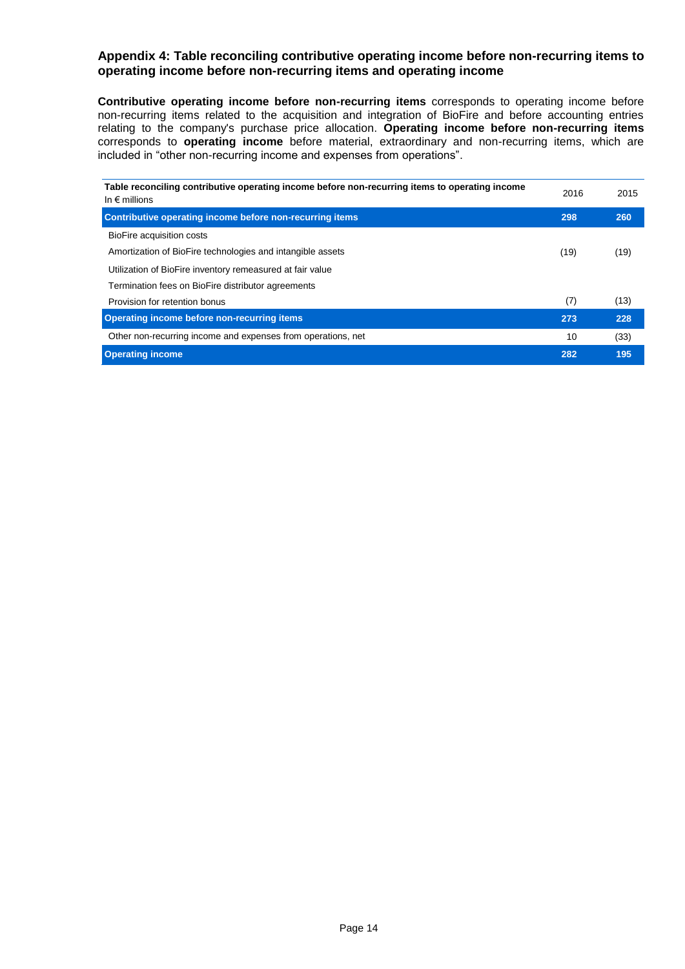### **Appendix 4: Table reconciling contributive operating income before non-recurring items to operating income before non-recurring items and operating income**

**Contributive operating income before non-recurring items** corresponds to operating income before non-recurring items related to the acquisition and integration of BioFire and before accounting entries relating to the company's purchase price allocation. **Operating income before non-recurring items** corresponds to **operating income** before material, extraordinary and non-recurring items, which are included in "other non-recurring income and expenses from operations".

| Table reconciling contributive operating income before non-recurring items to operating income<br>In $\epsilon$ millions | 2016 | 2015 |
|--------------------------------------------------------------------------------------------------------------------------|------|------|
| <b>Contributive operating income before non-recurring items</b>                                                          | 298  | 260  |
| BioFire acquisition costs                                                                                                |      |      |
| Amortization of BioFire technologies and intangible assets                                                               | (19) | (19) |
| Utilization of BioFire inventory remeasured at fair value                                                                |      |      |
| Termination fees on BioFire distributor agreements                                                                       |      |      |
| Provision for retention bonus                                                                                            | (7)  | (13) |
| Operating income before non-recurring items                                                                              | 273  | 228  |
| Other non-recurring income and expenses from operations, net                                                             | 10   | (33) |
| <b>Operating income</b>                                                                                                  | 282  | 195  |